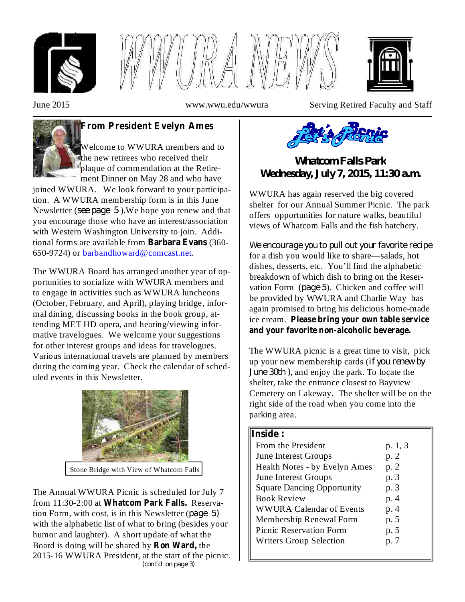





June 2015 www.wwu.edu/wwura Serving Retired Faculty and Staff



# **From President Evelyn Ames**

Welcome to WWURA members and to the new retirees who received their plaque of commendation at the Retirement Dinner on May 28 and who have

joined WWURA. We look forward to your participation. A WWURA membership form is in this June Newsletter (see page 5). We hope you renew and that you encourage those who have an interest/association with Western Washington University to join. Additional forms are available from **Barbara Evans** (360-650-9724) or barbandhoward@comcast.net.

The WWURA Board has arranged another year of opportunities to socialize with WWURA members and to engage in activities such as WWURA luncheons (October, February, and April), playing bridge, informal dining, discussing books in the book group, attending MET HD opera, and hearing/viewing informative travelogues. We welcome your suggestions for other interest groups and ideas for travelogues. Various international travels are planned by members during the coming year. Check the calendar of scheduled events in this Newsletter.



Stone Bridge with View of Whatcom Falls

The Annual WWURA Picnic is scheduled for July 7 from 11:30-2:00 at Whatcom Park Falls. Reservation Form, with cost, is in this Newsletter ( *page 5)* with the alphabetic list of what to bring (besides your humor and laughter). A short update of what the Board is doing will be shared by **Ron Ward**, the 2015-16 WWURA President, at the start of the picnic. *(cont'd on page 3)*



*Whatcom Falls Park Wednesday, July 7, 2015, 11:30 a.m.*

WWURA has again reserved the big covered shelter for our Annual Summer Picnic. The park offers opportunities for nature walks, beautiful views of Whatcom Falls and the fish hatchery.

for a dish you would like to share—salads, hot dishes, desserts, etc. You'll find the alphabetic breakdown of which dish to bring on the Reservation Form (page 5). Chicken and coffee will be provided by WWURA and Charlie Way has again promised to bring his delicious home-made ice cream. **Please bring your own table service** *We encourage you to pull out your favorite recipe* **and your favorite non-alcoholic beverage.**

The WWURA picnic is a great time to visit, pick up your new membership cards ( *if you renew by June* 30th, and enjoy the park. To locate the shelter, take the entrance closest to Bayview Cemetery on Lakeway. The shelter will be on the right side of the road when you come into the parking area.

### **Inside :**

| From the President                | p. 1, 3 |
|-----------------------------------|---------|
| <b>June Interest Groups</b>       | p.2     |
| Health Notes - by Evelyn Ames     | p. 2    |
| <b>June Interest Groups</b>       | p. 3    |
| <b>Square Dancing Opportunity</b> | p. 3    |
| <b>Book Review</b>                | p. 4    |
| <b>WWURA Calendar of Events</b>   | p. 4    |
| Membership Renewal Form           | p. 5    |
| <b>Picnic Reservation Form</b>    | p. 5    |
| <b>Writers Group Selection</b>    | p. 7    |
|                                   |         |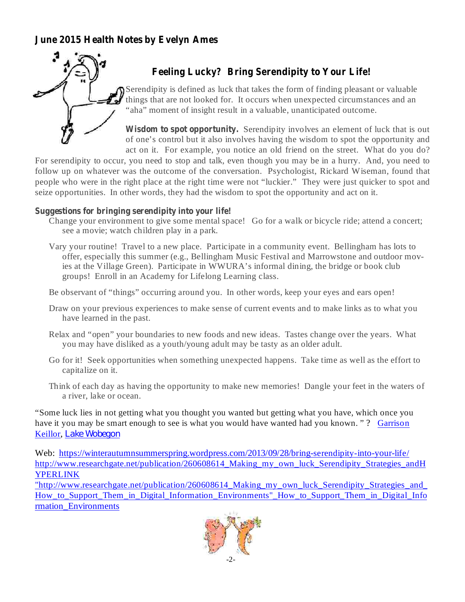## **June 2015 Health Notes by Evelyn Ames**



# **Feeling Lucky? Bring Serendipity to Your Life!**

Serendipity is defined as luck that takes the form of finding pleasant or valuable things that are not looked for. It occurs when unexpected circumstances and an "aha" moment of insight result in a valuable, unanticipated outcome.

**Wisdom to spot opportunity.** Serendipity involves an element of luck that is out of one's control but it also involves having the wisdom to spot the opportunity and act on it. For example, you notice an old friend on the street. What do you do?

For serendipity to occur, you need to stop and talk, even though you may be in a hurry. And, you need to follow up on whatever was the outcome of the conversation. Psychologist, Rickard Wiseman, found that people who were in the right place at the right time were not "luckier." They were just quicker to spot and seize opportunities. In other words, they had the wisdom to spot the opportunity and act on it.

### **Suggestions for bringing serendipity into your life!**

- Change your environment to give some mental space! Go for a walk or bicycle ride; attend a concert; see a movie; watch children play in a park.
- Vary your routine! Travel to a new place. Participate in a community event. Bellingham has lots to offer, especially this summer (e.g., Bellingham Music Festival and Marrowstone and outdoor movies at the Village Green). Participate in WWURA's informal dining, the bridge or book club groups! Enroll in an Academy for Lifelong Learning class.
- Be observant of "things" occurring around you. In other words, keep your eyes and ears open!
- Draw on your previous experiences to make sense of current events and to make links as to what you have learned in the past.
- Relax and "open" your boundaries to new foods and new ideas. Tastes change over the years. What you may have disliked as a youth/young adult may be tasty as an older adult.
- Go for it! Seek opportunities when something unexpected happens. Take time as well as the effort to capitalize on it.
- Think of each day as having the opportunity to make new memories! Dangle your feet in the waters of a river, lake or ocean.

"Some luck lies in not getting what you thought you wanted but getting what you have, which once you have it you may be smart enough to see is what you would have wanted had you known."? Garrison Keillor, *Lake Wobegon*

Web: https://winterautumnsummerspring.wordpress.com/2013/09/28/bring-serendipity-into-your-life/ http://www.researchgate.net/publication/260608614\_Making\_my\_own\_luck\_Serendipity\_Strategies\_andH YPERLINK

"http://www.researchgate.net/publication/260608614\_Making\_my\_own\_luck\_Serendipity\_Strategies\_and\_ How to Support Them in Digital Information Environments" How to Support Them in Digital Info rmation\_Environments

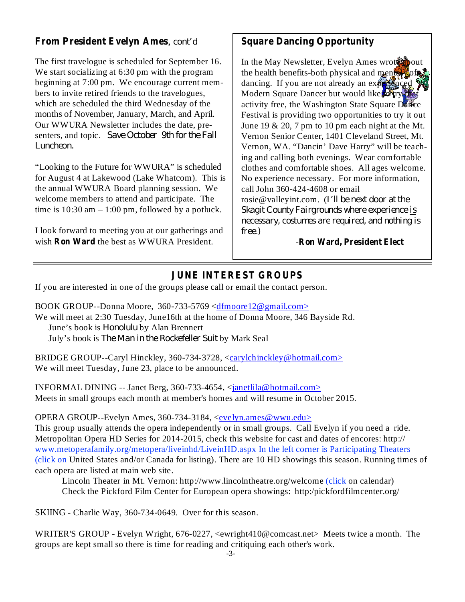## **From President Evelyn Ames** , *cont'd*

The first travelogue is scheduled for September 16. We start socializing at 6:30 pm with the program beginning at 7:00 pm. We encourage current members to invite retired friends to the travelogues, which are scheduled the third Wednesday of the months of November, January, March, and April. Our WWURA Newsletter includes the date, presenters, and topic *. Save October 9th for the Fall Luncheon.*

"Looking to the Future for WWURA" is scheduled for August 4 at Lakewood (Lake Whatcom). This is the annual WWURA Board planning session. We welcome members to attend and participate. The time is  $10:30$  am  $-1:00$  pm, followed by a potluck.

wish Ron Ward the best as WWURA President. I look forward to meeting you at our gatherings and

## **Square Dancing Opportunity**

In the May Newsletter, Evelyn Ames wrote to bout the health benefits-both physical and mental–of dancing. If you are not already an  $\exp(-\frac{1}{2} \pi)$ Modern Square Dancer but would like to try activity free, the Washington State Square Dance Festival is providing two opportunities to try it out June 19  $& 20, 7$  pm to 10 pm each night at the Mt. Vernon Senior Center, 1401 Cleveland Street, Mt. Vernon, WA. "Dancin' Dave Harry" will be teaching and calling both evenings. Wear comfortable clothes and comfortable shoes. All ages welcome. No experience necessary. For more information, call John 360-424-4608 or email rosie@valleyint.com. ( *I'll be next door at the Skagit County Fairgrounds where experience is necessary, costumes are required, and nothing is free.)*

**Ron Ward, President Elect** -

## **JUNE INTEREST GROUPS**

If you are interested in one of the groups please call or email the contact person.

BOOK GROUP--Donna Moore, 360-733-5769 <dfmoore12@gmail.com> We will meet at 2:30 Tuesday, June16th at the home of Donna Moore, 346 Bayside Rd. June's book is *Honolulu* by Alan Brennert July's book is *The Man in the Rockefeller Suit* by Mark Seal

BRIDGE GROUP--Caryl Hinckley, 360-734-3728, <carylchinckley@hotmail.com> We will meet Tuesday, June 23, place to be announced.

INFORMAL DINING -- Janet Berg, 360-733-4654, <janetlila@hotmail.com> Meets in small groups each month at member's homes and will resume in October 2015.

OPERA GROUP--Evelyn Ames, 360-734-3184, <evelyn.ames@wwu.edu>

This group usually attends the opera independently or in small groups. Call Evelyn if you need a ride. Metropolitan Opera HD Series for 2014-2015, check this website for cast and dates of encores: http:// www.metoperafamily.org/metopera/liveinhd/LiveinHD.aspx In the left corner is Participating Theaters (click on United States and/or Canada for listing). There are 10 HD showings this season. Running times of each opera are listed at main web site.

Lincoln Theater in Mt. Vernon: http://www.lincolntheatre.org/welcome (click on calendar) Check the Pickford Film Center for European opera showings: http:/pickfordfilmcenter.org/

SKIING - Charlie Way, 360-734-0649. Over for this season.

WRITER'S GROUP - Evelyn Wright, 676-0227, <ewright410@comcast.net> Meets twice a month. The groups are kept small so there is time for reading and critiquing each other's work.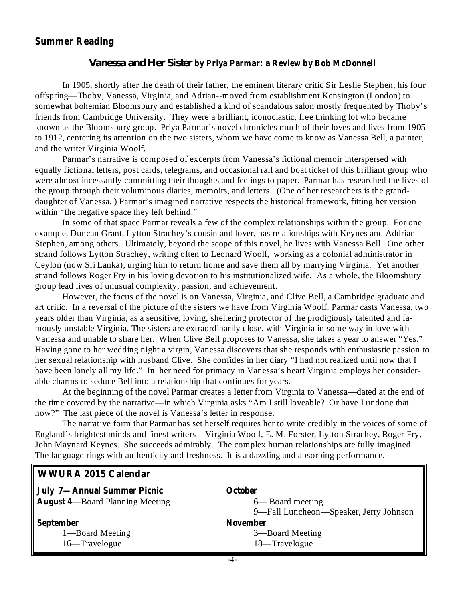#### **Summer Reading**

**WWURA 2015 Calendar**

#### **by Priya Parmar: a Review by Bob McDonnell** *Vanessa and Her Sister*

In 1905, shortly after the death of their father, the eminent literary critic Sir Leslie Stephen, his four offspring—Thoby, Vanessa, Virginia, and Adrian--moved from establishment Kensington (London) to somewhat bohemian Bloomsbury and established a kind of scandalous salon mostly frequented by Thoby's friends from Cambridge University. They were a brilliant, iconoclastic, free thinking lot who became known as the Bloomsbury group. Priya Parmar's novel chronicles much of their loves and lives from 1905 to 1912, centering its attention on the two sisters, whom we have come to know as Vanessa Bell, a painter, and the writer Virginia Woolf.

Parmar's narrative is composed of excerpts from Vanessa's fictional memoir interspersed with equally fictional letters, post cards, telegrams, and occasional rail and boat ticket of this brilliant group who were almost incessantly committing their thoughts and feelings to paper. Parmar has researched the lives of the group through their voluminous diaries, memoirs, and letters. (One of her researchers is the granddaughter of Vanessa. ) Parmar's imagined narrative respects the historical framework, fitting her version within "the negative space they left behind."

In some of that space Parmar reveals a few of the complex relationships within the group. For one example, Duncan Grant, Lytton Strachey's cousin and lover, has relationships with Keynes and Addrian Stephen, among others. Ultimately, beyond the scope of this novel, he lives with Vanessa Bell. One other strand follows Lytton Strachey, writing often to Leonard Woolf, working as a colonial administrator in Ceylon (now Sri Lanka), urging him to return home and save them all by marrying Virginia. Yet another strand follows Roger Fry in his loving devotion to his institutionalized wife. As a whole, the Bloomsbury group lead lives of unusual complexity, passion, and achievement.

However, the focus of the novel is on Vanessa, Virginia, and Clive Bell, a Cambridge graduate and art critic. In a reversal of the picture of the sisters we have from Virginia Woolf, Parmar casts Vanessa, two years older than Virginia, as a sensitive, loving, sheltering protector of the prodigiously talented and famously unstable Virginia. The sisters are extraordinarily close, with Virginia in some way in love with Vanessa and unable to share her. When Clive Bell proposes to Vanessa, she takes a year to answer "Yes." Having gone to her wedding night a virgin, Vanessa discovers that she responds with enthusiastic passion to her sexual relationship with husband Clive. She confides in her diary "I had not realized until now that I have been lonely all my life." In her need for primacy in Vanessa's heart Virginia employs her considerable charms to seduce Bell into a relationship that continues for years.

At the beginning of the novel Parmar creates a letter from Virginia to Vanessa—dated at the end of the time covered by the narrative—in which Virginia asks "Am I still loveable? Or have I undone that now?" The last piece of the novel is Vanessa's letter in response.

The narrative form that Parmar has set herself requires her to write credibly in the voices of some of England's brightest minds and finest writers—Virginia Woolf, E. M. Forster, Lytton Strachey, Roger Fry, John Maynard Keynes. She succeeds admirably. The complex human relationships are fully imagined. The language rings with authenticity and freshness. It is a dazzling and absorbing performance.

| <b>October</b>                         |
|----------------------------------------|
| 6— Board meeting                       |
| 9—Fall Luncheon—Speaker, Jerry Johnson |
| <b>November</b>                        |
| 3—Board Meeting                        |
| 18—Travelogue                          |
|                                        |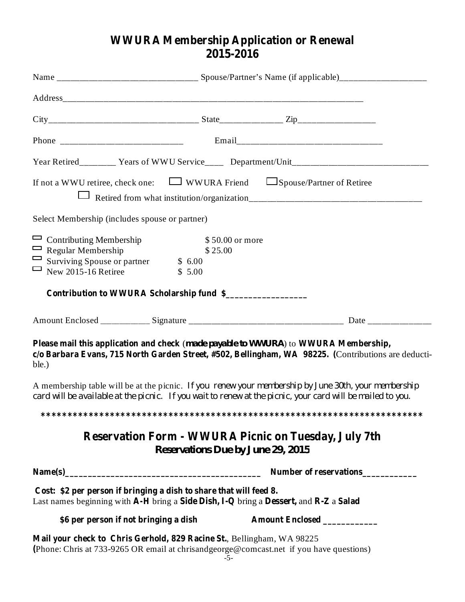# **WWURA Membership Application or Renewal 2015-2016**

|                                                                                                                                       | If not a WWU retiree, check one: $\Box$ WWURA Friend $\Box$ Spouse/Partner of Retiree                                                                                                                              |  |
|---------------------------------------------------------------------------------------------------------------------------------------|--------------------------------------------------------------------------------------------------------------------------------------------------------------------------------------------------------------------|--|
| Select Membership (includes spouse or partner)                                                                                        |                                                                                                                                                                                                                    |  |
| Contributing Membership<br>$\Box$ Regular Membership<br>$\Box$ Surviving Spouse or partner \$ 6.00<br>New $2015-16$ Retiree<br>$\Box$ | \$50.00 or more<br>\$25.00<br>\$5.00                                                                                                                                                                               |  |
|                                                                                                                                       | Contribution to WWURA Scholarship fund \$                                                                                                                                                                          |  |
|                                                                                                                                       |                                                                                                                                                                                                                    |  |
| ble.)                                                                                                                                 | Please mail this application and check (made payable to WWURA) to WWURA Membership,<br>c/o Barbara Evans, 715 North Garden Street, #502, Bellingham, WA 98225. (Contributions are deducti-                         |  |
|                                                                                                                                       | A membership table will be at the picnic. If you renew your membership by June 30th, your membership<br>card will be available at the picnic. If you wait to renew at the picnic, your card will be mailed to you. |  |
|                                                                                                                                       |                                                                                                                                                                                                                    |  |
|                                                                                                                                       | <b>Reservation Form - WWURA Picnic on Tuesday, July 7th</b><br><b>Reservations Due by June 29, 2015</b>                                                                                                            |  |
|                                                                                                                                       | Number of reservations                                                                                                                                                                                             |  |
| Cost: \$2 per person if bringing a dish to share that will feed 8.                                                                    | Last names beginning with A-H bring a Side Dish, I-Q bring a Dessert, and R-Z a Salad                                                                                                                              |  |
| \$6 per person if not bringing a dish                                                                                                 | Amount Enclosed __________                                                                                                                                                                                         |  |
|                                                                                                                                       | Mail your check to Chris Gerhold, 829 Racine St., Bellingham, WA 98225<br>(Phone: Chris at 733-9265 OR email at chrisandgeorge@comcast.net if you have questions)<br>$-5-$                                         |  |